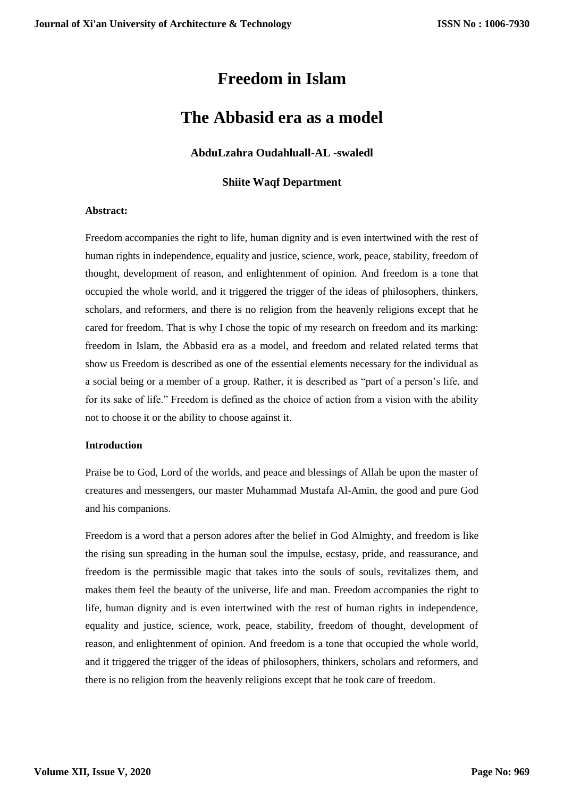# **Freedom in Islam**

## **The Abbasid era as a model**

## **AbduLzahra Oudahluall-AL -swaledl**

## **Shiite Waqf Department**

#### **Abstract:**

Freedom accompanies the right to life, human dignity and is even intertwined with the rest of human rights in independence, equality and justice, science, work, peace, stability, freedom of thought, development of reason, and enlightenment of opinion. And freedom is a tone that occupied the whole world, and it triggered the trigger of the ideas of philosophers, thinkers, scholars, and reformers, and there is no religion from the heavenly religions except that he cared for freedom. That is why I chose the topic of my research on freedom and its marking: freedom in Islam, the Abbasid era as a model, and freedom and related related terms that show us Freedom is described as one of the essential elements necessary for the individual as a social being or a member of a group. Rather, it is described as "part of a person's life, and for its sake of life." Freedom is defined as the choice of action from a vision with the ability not to choose it or the ability to choose against it.

#### **Introduction**

Praise be to God, Lord of the worlds, and peace and blessings of Allah be upon the master of creatures and messengers, our master Muhammad Mustafa Al-Amin, the good and pure God and his companions.

Freedom is a word that a person adores after the belief in God Almighty, and freedom is like the rising sun spreading in the human soul the impulse, ecstasy, pride, and reassurance, and freedom is the permissible magic that takes into the souls of souls, revitalizes them, and makes them feel the beauty of the universe, life and man. Freedom accompanies the right to life, human dignity and is even intertwined with the rest of human rights in independence, equality and justice, science, work, peace, stability, freedom of thought, development of reason, and enlightenment of opinion. And freedom is a tone that occupied the whole world, and it triggered the trigger of the ideas of philosophers, thinkers, scholars and reformers, and there is no religion from the heavenly religions except that he took care of freedom.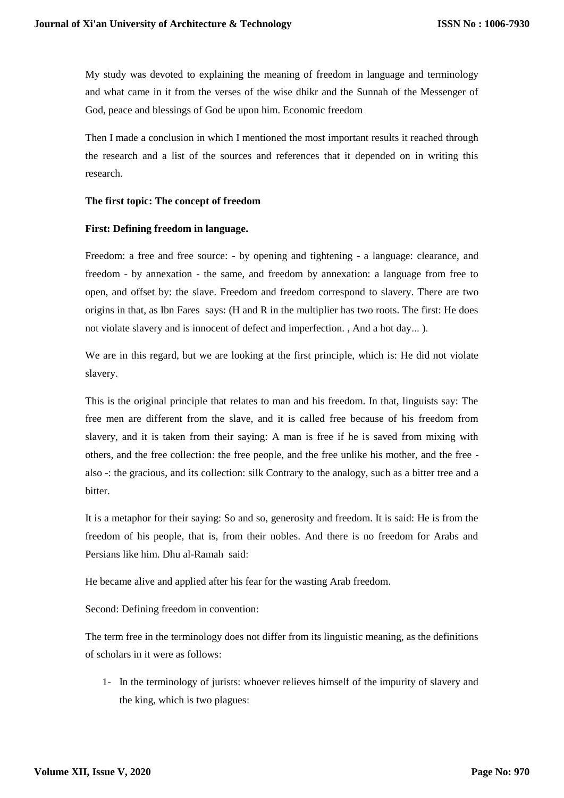My study was devoted to explaining the meaning of freedom in language and terminology and what came in it from the verses of the wise dhikr and the Sunnah of the Messenger of God, peace and blessings of God be upon him. Economic freedom

Then I made a conclusion in which I mentioned the most important results it reached through the research and a list of the sources and references that it depended on in writing this research.

## **The first topic: The concept of freedom**

## **First: Defining freedom in language.**

Freedom: a free and free source: - by opening and tightening - a language: clearance, and freedom - by annexation - the same, and freedom by annexation: a language from free to open, and offset by: the slave. Freedom and freedom correspond to slavery. There are two origins in that, as Ibn Fares says: (H and R in the multiplier has two roots. The first: He does not violate slavery and is innocent of defect and imperfection. , And a hot day... ).

We are in this regard, but we are looking at the first principle, which is: He did not violate slavery.

This is the original principle that relates to man and his freedom. In that, linguists say: The free men are different from the slave, and it is called free because of his freedom from slavery, and it is taken from their saying: A man is free if he is saved from mixing with others, and the free collection: the free people, and the free unlike his mother, and the free also -: the gracious, and its collection: silk Contrary to the analogy, such as a bitter tree and a bitter.

It is a metaphor for their saying: So and so, generosity and freedom. It is said: He is from the freedom of his people, that is, from their nobles. And there is no freedom for Arabs and Persians like him. Dhu al-Ramah said:

He became alive and applied after his fear for the wasting Arab freedom.

Second: Defining freedom in convention:

The term free in the terminology does not differ from its linguistic meaning, as the definitions of scholars in it were as follows:

1- In the terminology of jurists: whoever relieves himself of the impurity of slavery and the king, which is two plagues: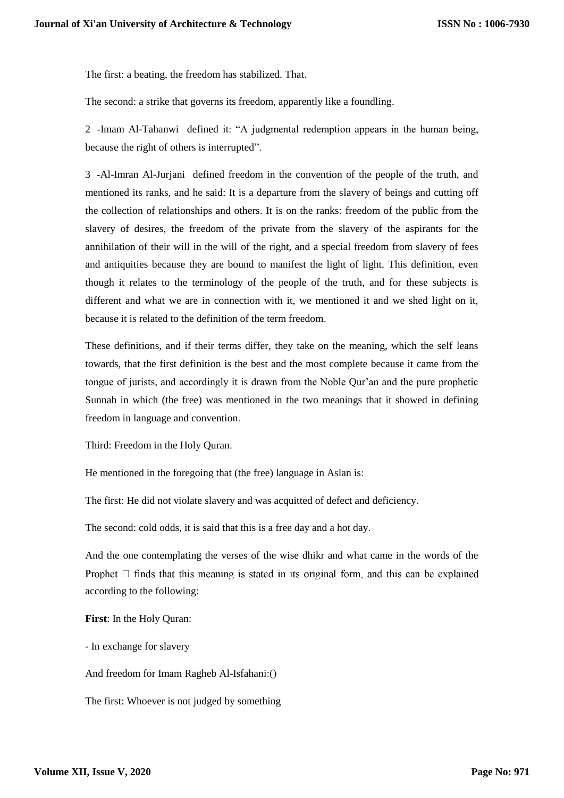The first: a beating, the freedom has stabilized. That.

The second: a strike that governs its freedom, apparently like a foundling.

2 -Imam Al-Tahanwi defined it: "A judgmental redemption appears in the human being, because the right of others is interrupted".

3 -Al-Imran Al-Jurjani defined freedom in the convention of the people of the truth, and mentioned its ranks, and he said: It is a departure from the slavery of beings and cutting off the collection of relationships and others. It is on the ranks: freedom of the public from the slavery of desires, the freedom of the private from the slavery of the aspirants for the annihilation of their will in the will of the right, and a special freedom from slavery of fees and antiquities because they are bound to manifest the light of light. This definition, even though it relates to the terminology of the people of the truth, and for these subjects is different and what we are in connection with it, we mentioned it and we shed light on it, because it is related to the definition of the term freedom.

These definitions, and if their terms differ, they take on the meaning, which the self leans towards, that the first definition is the best and the most complete because it came from the tongue of jurists, and accordingly it is drawn from the Noble Qur'an and the pure prophetic Sunnah in which (the free) was mentioned in the two meanings that it showed in defining freedom in language and convention.

Third: Freedom in the Holy Quran.

He mentioned in the foregoing that (the free) language in Aslan is:

The first: He did not violate slavery and was acquitted of defect and deficiency.

The second: cold odds, it is said that this is a free day and a hot day.

And the one contemplating the verses of the wise dhikr and what came in the words of the Prophet  $\Box$  finds that this meaning is stated in its original form, and this can be explained according to the following:

**First**: In the Holy Quran:

- In exchange for slavery

And freedom for Imam Ragheb Al-Isfahani:()

The first: Whoever is not judged by something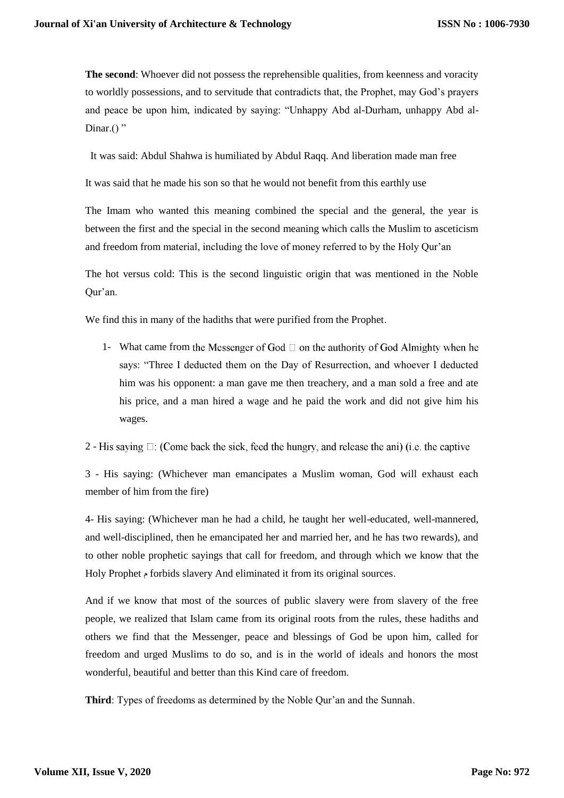**The second**: Whoever did not possess the reprehensible qualities, from keenness and voracity to worldly possessions, and to servitude that contradicts that, the Prophet, may God's prayers and peace be upon him, indicated by saying: "Unhappy Abd al-Durham, unhappy Abd al-Dinar. $()$ "

It was said: Abdul Shahwa is humiliated by Abdul Raqq. And liberation made man free

It was said that he made his son so that he would not benefit from this earthly use

The Imam who wanted this meaning combined the special and the general, the year is between the first and the special in the second meaning which calls the Muslim to asceticism and freedom from material, including the love of money referred to by the Holy Qur'an

The hot versus cold: This is the second linguistic origin that was mentioned in the Noble Qur'an.

We find this in many of the hadiths that were purified from the Prophet.

1- What came from the Messenger of God  $\Box$  on the authority of God Almighty when he says: "Three I deducted them on the Day of Resurrection, and whoever I deducted him was his opponent: a man gave me then treachery, and a man sold a free and ate his price, and a man hired a wage and he paid the work and did not give him his wages.

2 - His saying  $\Box$ : (Come back the sick, feed the hungry, and release the ani) (i.e. the captive

3 - His saying: (Whichever man emancipates a Muslim woman, God will exhaust each member of him from the fire)

4- His saying: (Whichever man he had a child, he taught her well-educated, well-mannered, and well-disciplined, then he emancipated her and married her, and he has two rewards), and to other noble prophetic sayings that call for freedom, and through which we know that the Holy Prophet م forbids slavery And eliminated it from its original sources.

And if we know that most of the sources of public slavery were from slavery of the free people, we realized that Islam came from its original roots from the rules, these hadiths and others we find that the Messenger, peace and blessings of God be upon him, called for freedom and urged Muslims to do so, and is in the world of ideals and honors the most wonderful, beautiful and better than this Kind care of freedom.

**Third**: Types of freedoms as determined by the Noble Qur'an and the Sunnah.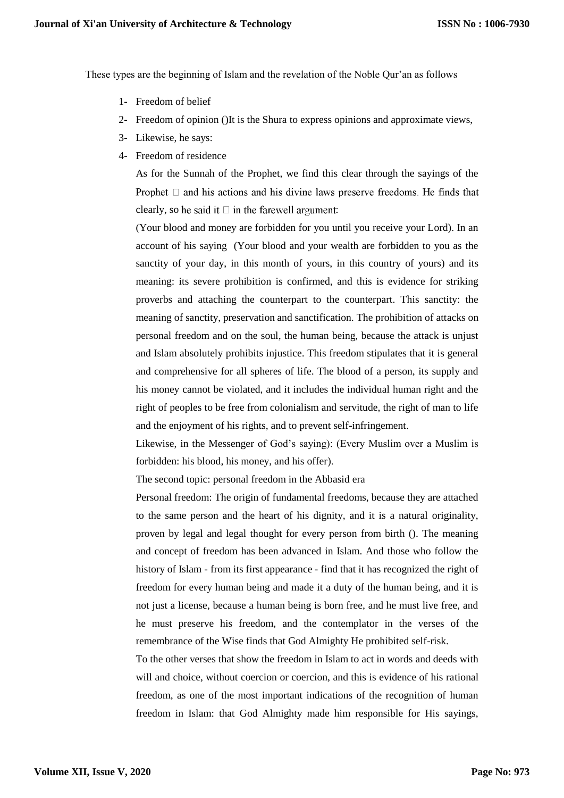These types are the beginning of Islam and the revelation of the Noble Qur'an as follows

- 1- Freedom of belief
- 2- Freedom of opinion ()It is the Shura to express opinions and approximate views,
- 3- Likewise, he says:
- 4- Freedom of residence

As for the Sunnah of the Prophet, we find this clear through the sayings of the Prophet  $\Box$  and his actions and his divine laws preserve freedoms. He finds that clearly, so he said it  $\square$  in the farewell argument:

)Your blood and money are forbidden for you until you receive your Lord). In an account of his saying (Your blood and your wealth are forbidden to you as the sanctity of your day, in this month of yours, in this country of yours) and its meaning: its severe prohibition is confirmed, and this is evidence for striking proverbs and attaching the counterpart to the counterpart. This sanctity: the meaning of sanctity, preservation and sanctification. The prohibition of attacks on personal freedom and on the soul, the human being, because the attack is unjust and Islam absolutely prohibits injustice. This freedom stipulates that it is general and comprehensive for all spheres of life. The blood of a person, its supply and his money cannot be violated, and it includes the individual human right and the right of peoples to be free from colonialism and servitude, the right of man to life and the enjoyment of his rights, and to prevent self-infringement.

Likewise, in the Messenger of God's saying): (Every Muslim over a Muslim is forbidden: his blood, his money, and his offer).

The second topic: personal freedom in the Abbasid era

Personal freedom: The origin of fundamental freedoms, because they are attached to the same person and the heart of his dignity, and it is a natural originality, proven by legal and legal thought for every person from birth (). The meaning and concept of freedom has been advanced in Islam. And those who follow the history of Islam - from its first appearance - find that it has recognized the right of freedom for every human being and made it a duty of the human being, and it is not just a license, because a human being is born free, and he must live free, and he must preserve his freedom, and the contemplator in the verses of the remembrance of the Wise finds that God Almighty He prohibited self-risk.

To the other verses that show the freedom in Islam to act in words and deeds with will and choice, without coercion or coercion, and this is evidence of his rational freedom, as one of the most important indications of the recognition of human freedom in Islam: that God Almighty made him responsible for His sayings,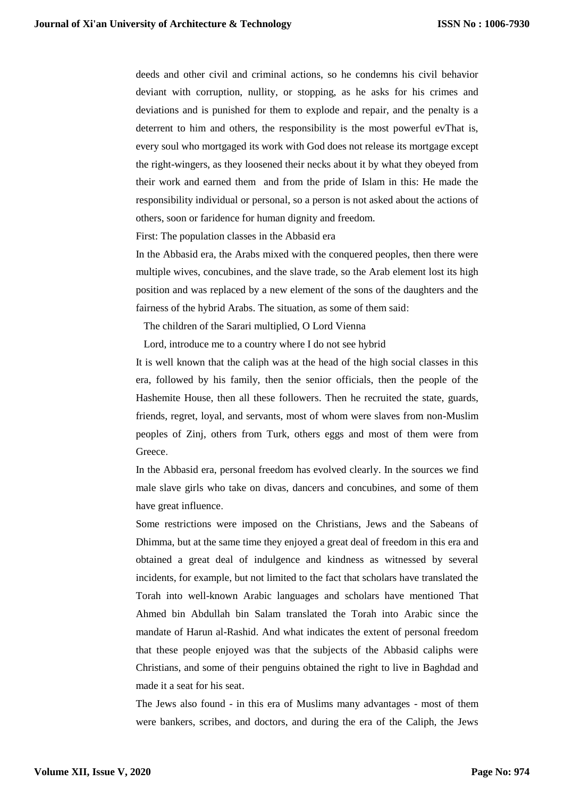deeds and other civil and criminal actions, so he condemns his civil behavior deviant with corruption, nullity, or stopping, as he asks for his crimes and deviations and is punished for them to explode and repair, and the penalty is a deterrent to him and others, the responsibility is the most powerful evThat is, every soul who mortgaged its work with God does not release its mortgage except the right-wingers, as they loosened their necks about it by what they obeyed from their work and earned them and from the pride of Islam in this: He made the responsibility individual or personal, so a person is not asked about the actions of others, soon or faridence for human dignity and freedom.

First: The population classes in the Abbasid era

In the Abbasid era, the Arabs mixed with the conquered peoples, then there were multiple wives, concubines, and the slave trade, so the Arab element lost its high position and was replaced by a new element of the sons of the daughters and the fairness of the hybrid Arabs. The situation, as some of them said:

The children of the Sarari multiplied, O Lord Vienna

Lord, introduce me to a country where I do not see hybrid

It is well known that the caliph was at the head of the high social classes in this era, followed by his family, then the senior officials, then the people of the Hashemite House, then all these followers. Then he recruited the state, guards, friends, regret, loyal, and servants, most of whom were slaves from non-Muslim peoples of Zinj, others from Turk, others eggs and most of them were from Greece.

In the Abbasid era, personal freedom has evolved clearly. In the sources we find male slave girls who take on divas, dancers and concubines, and some of them have great influence.

Some restrictions were imposed on the Christians, Jews and the Sabeans of Dhimma, but at the same time they enjoyed a great deal of freedom in this era and obtained a great deal of indulgence and kindness as witnessed by several incidents, for example, but not limited to the fact that scholars have translated the Torah into well-known Arabic languages and scholars have mentioned That Ahmed bin Abdullah bin Salam translated the Torah into Arabic since the mandate of Harun al-Rashid. And what indicates the extent of personal freedom that these people enjoyed was that the subjects of the Abbasid caliphs were Christians, and some of their penguins obtained the right to live in Baghdad and made it a seat for his seat.

The Jews also found - in this era of Muslims many advantages - most of them were bankers, scribes, and doctors, and during the era of the Caliph, the Jews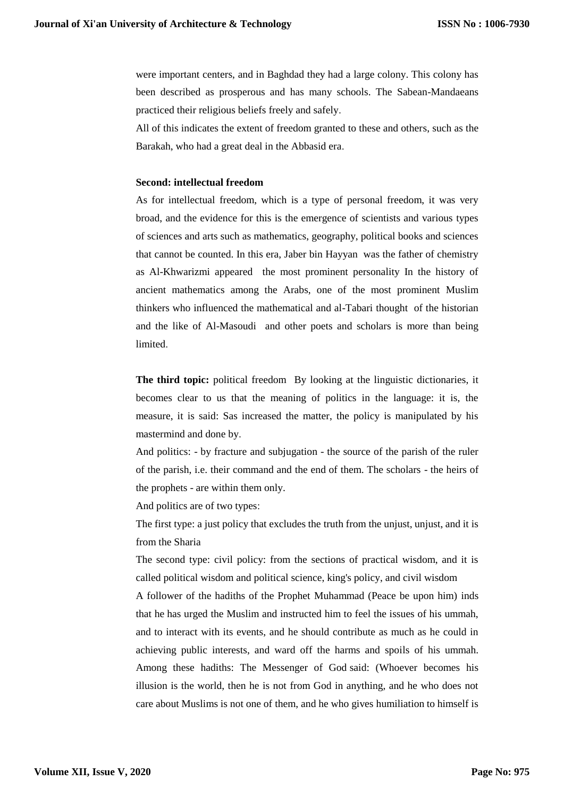were important centers, and in Baghdad they had a large colony. This colony has been described as prosperous and has many schools. The Sabean-Mandaeans practiced their religious beliefs freely and safely.

All of this indicates the extent of freedom granted to these and others, such as the Barakah, who had a great deal in the Abbasid era.

## **Second: intellectual freedom**

As for intellectual freedom, which is a type of personal freedom, it was very broad, and the evidence for this is the emergence of scientists and various types of sciences and arts such as mathematics, geography, political books and sciences that cannot be counted. In this era, Jaber bin Hayyan was the father of chemistry as Al-Khwarizmi appeared the most prominent personality In the history of ancient mathematics among the Arabs, one of the most prominent Muslim thinkers who influenced the mathematical and al-Tabari thought of the historian and the like of Al-Masoudi and other poets and scholars is more than being limited.

**The third topic:** political freedom By looking at the linguistic dictionaries, it becomes clear to us that the meaning of politics in the language: it is, the measure, it is said: Sas increased the matter, the policy is manipulated by his mastermind and done by.

And politics: - by fracture and subjugation - the source of the parish of the ruler of the parish, i.e. their command and the end of them. The scholars - the heirs of the prophets - are within them only.

And politics are of two types:

The first type: a just policy that excludes the truth from the unjust, unjust, and it is from the Sharia

The second type: civil policy: from the sections of practical wisdom, and it is called political wisdom and political science, king's policy, and civil wisdom

A follower of the hadiths of the Prophet Muhammad (Peace be upon him) inds that he has urged the Muslim and instructed him to feel the issues of his ummah, and to interact with its events, and he should contribute as much as he could in achieving public interests, and ward off the harms and spoils of his ummah. Among these hadiths: The Messenger of God said: (Whoever becomes his illusion is the world, then he is not from God in anything, and he who does not care about Muslims is not one of them, and he who gives humiliation to himself is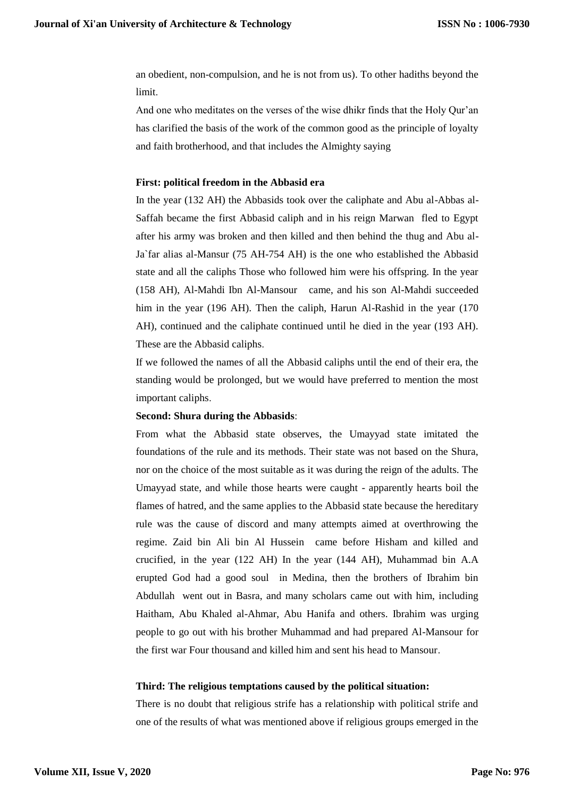an obedient, non-compulsion, and he is not from us). To other hadiths beyond the limit.

And one who meditates on the verses of the wise dhikr finds that the Holy Qur'an has clarified the basis of the work of the common good as the principle of loyalty and faith brotherhood, and that includes the Almighty saying

#### **First: political freedom in the Abbasid era**

In the year (132 AH) the Abbasids took over the caliphate and Abu al-Abbas al-Saffah became the first Abbasid caliph and in his reign Marwan fled to Egypt after his army was broken and then killed and then behind the thug and Abu al-Ja`far alias al-Mansur (75 AH-754 AH) is the one who established the Abbasid state and all the caliphs Those who followed him were his offspring. In the year (158 AH), Al-Mahdi Ibn Al-Mansour came, and his son Al-Mahdi succeeded him in the year (196 AH). Then the caliph, Harun Al-Rashid in the year (170 AH), continued and the caliphate continued until he died in the year (193 AH). These are the Abbasid caliphs.

If we followed the names of all the Abbasid caliphs until the end of their era, the standing would be prolonged, but we would have preferred to mention the most important caliphs.

#### **Second: Shura during the Abbasids**:

From what the Abbasid state observes, the Umayyad state imitated the foundations of the rule and its methods. Their state was not based on the Shura, nor on the choice of the most suitable as it was during the reign of the adults. The Umayyad state, and while those hearts were caught - apparently hearts boil the flames of hatred, and the same applies to the Abbasid state because the hereditary rule was the cause of discord and many attempts aimed at overthrowing the regime. Zaid bin Ali bin Al Hussein came before Hisham and killed and crucified, in the year (122 AH) In the year (144 AH), Muhammad bin A.A erupted God had a good soul in Medina, then the brothers of Ibrahim bin Abdullah went out in Basra, and many scholars came out with him, including Haitham, Abu Khaled al-Ahmar, Abu Hanifa and others. Ibrahim was urging people to go out with his brother Muhammad and had prepared Al-Mansour for the first war Four thousand and killed him and sent his head to Mansour.

#### **Third: The religious temptations caused by the political situation:**

There is no doubt that religious strife has a relationship with political strife and one of the results of what was mentioned above if religious groups emerged in the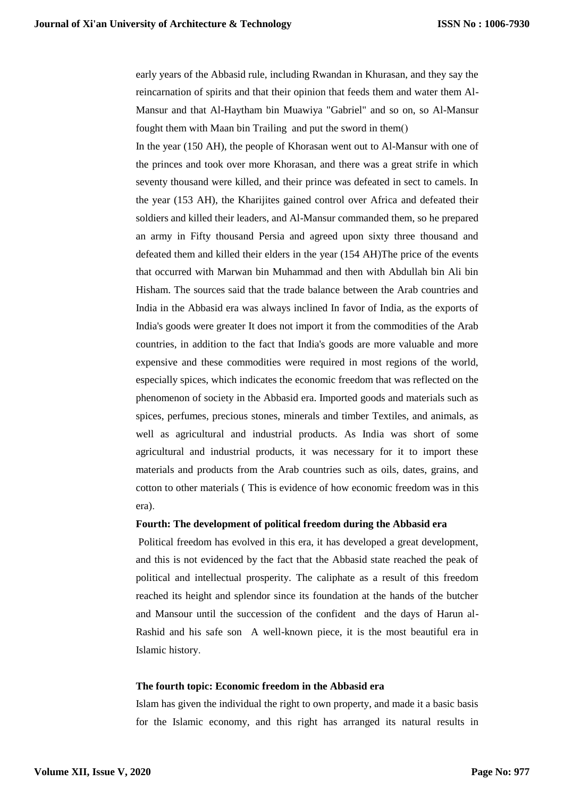early years of the Abbasid rule, including Rwandan in Khurasan, and they say the reincarnation of spirits and that their opinion that feeds them and water them Al-Mansur and that Al-Haytham bin Muawiya "Gabriel" and so on, so Al-Mansur fought them with Maan bin Trailing and put the sword in them()

In the year (150 AH), the people of Khorasan went out to Al-Mansur with one of the princes and took over more Khorasan, and there was a great strife in which seventy thousand were killed, and their prince was defeated in sect to camels. In the year (153 AH), the Kharijites gained control over Africa and defeated their soldiers and killed their leaders, and Al-Mansur commanded them, so he prepared an army in Fifty thousand Persia and agreed upon sixty three thousand and defeated them and killed their elders in the year (154 AH)The price of the events that occurred with Marwan bin Muhammad and then with Abdullah bin Ali bin Hisham. The sources said that the trade balance between the Arab countries and India in the Abbasid era was always inclined In favor of India, as the exports of India's goods were greater It does not import it from the commodities of the Arab countries, in addition to the fact that India's goods are more valuable and more expensive and these commodities were required in most regions of the world, especially spices, which indicates the economic freedom that was reflected on the phenomenon of society in the Abbasid era. Imported goods and materials such as spices, perfumes, precious stones, minerals and timber Textiles, and animals, as well as agricultural and industrial products. As India was short of some agricultural and industrial products, it was necessary for it to import these materials and products from the Arab countries such as oils, dates, grains, and cotton to other materials ( This is evidence of how economic freedom was in this era).

#### **Fourth: The development of political freedom during the Abbasid era**

Political freedom has evolved in this era, it has developed a great development, and this is not evidenced by the fact that the Abbasid state reached the peak of political and intellectual prosperity. The caliphate as a result of this freedom reached its height and splendor since its foundation at the hands of the butcher and Mansour until the succession of the confident and the days of Harun al-Rashid and his safe son A well-known piece, it is the most beautiful era in Islamic history.

#### **The fourth topic: Economic freedom in the Abbasid era**

Islam has given the individual the right to own property, and made it a basic basis for the Islamic economy, and this right has arranged its natural results in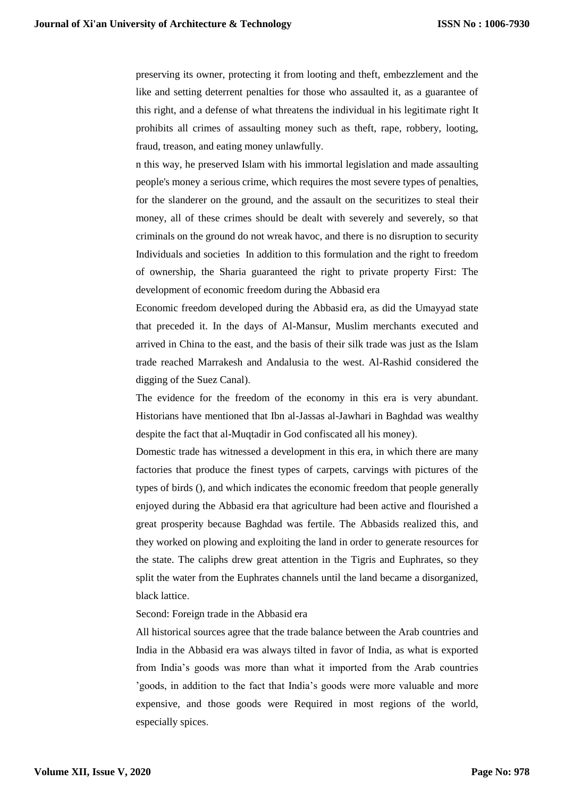preserving its owner, protecting it from looting and theft, embezzlement and the like and setting deterrent penalties for those who assaulted it, as a guarantee of this right, and a defense of what threatens the individual in his legitimate right It prohibits all crimes of assaulting money such as theft, rape, robbery, looting, fraud, treason, and eating money unlawfully.

n this way, he preserved Islam with his immortal legislation and made assaulting people's money a serious crime, which requires the most severe types of penalties, for the slanderer on the ground, and the assault on the securitizes to steal their money, all of these crimes should be dealt with severely and severely, so that criminals on the ground do not wreak havoc, and there is no disruption to security Individuals and societies In addition to this formulation and the right to freedom of ownership, the Sharia guaranteed the right to private property First: The development of economic freedom during the Abbasid era

Economic freedom developed during the Abbasid era, as did the Umayyad state that preceded it. In the days of Al-Mansur, Muslim merchants executed and arrived in China to the east, and the basis of their silk trade was just as the Islam trade reached Marrakesh and Andalusia to the west. Al-Rashid considered the digging of the Suez Canal).

The evidence for the freedom of the economy in this era is very abundant. Historians have mentioned that Ibn al-Jassas al-Jawhari in Baghdad was wealthy despite the fact that al-Muqtadir in God confiscated all his money).

Domestic trade has witnessed a development in this era, in which there are many factories that produce the finest types of carpets, carvings with pictures of the types of birds (), and which indicates the economic freedom that people generally enjoyed during the Abbasid era that agriculture had been active and flourished a great prosperity because Baghdad was fertile. The Abbasids realized this, and they worked on plowing and exploiting the land in order to generate resources for the state. The caliphs drew great attention in the Tigris and Euphrates, so they split the water from the Euphrates channels until the land became a disorganized, black lattice.

Second: Foreign trade in the Abbasid era

All historical sources agree that the trade balance between the Arab countries and India in the Abbasid era was always tilted in favor of India, as what is exported from India's goods was more than what it imported from the Arab countries 'goods, in addition to the fact that India's goods were more valuable and more expensive, and those goods were Required in most regions of the world, especially spices.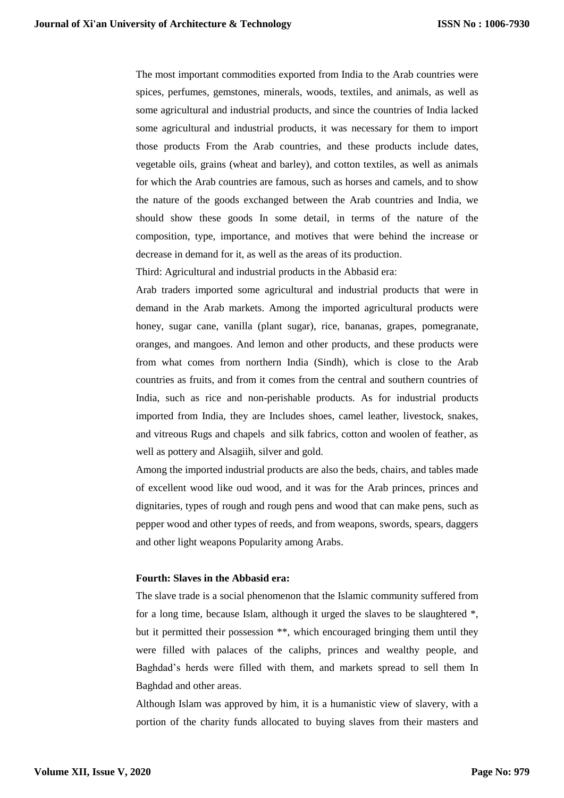The most important commodities exported from India to the Arab countries were spices, perfumes, gemstones, minerals, woods, textiles, and animals, as well as some agricultural and industrial products, and since the countries of India lacked some agricultural and industrial products, it was necessary for them to import those products From the Arab countries, and these products include dates, vegetable oils, grains (wheat and barley), and cotton textiles, as well as animals for which the Arab countries are famous, such as horses and camels, and to show the nature of the goods exchanged between the Arab countries and India, we should show these goods In some detail, in terms of the nature of the composition, type, importance, and motives that were behind the increase or decrease in demand for it, as well as the areas of its production.

Third: Agricultural and industrial products in the Abbasid era:

Arab traders imported some agricultural and industrial products that were in demand in the Arab markets. Among the imported agricultural products were honey, sugar cane, vanilla (plant sugar), rice, bananas, grapes, pomegranate, oranges, and mangoes. And lemon and other products, and these products were from what comes from northern India (Sindh), which is close to the Arab countries as fruits, and from it comes from the central and southern countries of India, such as rice and non-perishable products. As for industrial products imported from India, they are Includes shoes, camel leather, livestock, snakes, and vitreous Rugs and chapels and silk fabrics, cotton and woolen of feather, as well as pottery and Alsagiih, silver and gold.

Among the imported industrial products are also the beds, chairs, and tables made of excellent wood like oud wood, and it was for the Arab princes, princes and dignitaries, types of rough and rough pens and wood that can make pens, such as pepper wood and other types of reeds, and from weapons, swords, spears, daggers and other light weapons Popularity among Arabs.

## **Fourth: Slaves in the Abbasid era:**

The slave trade is a social phenomenon that the Islamic community suffered from for a long time, because Islam, although it urged the slaves to be slaughtered \*, but it permitted their possession \*\*, which encouraged bringing them until they were filled with palaces of the caliphs, princes and wealthy people, and Baghdad's herds were filled with them, and markets spread to sell them In Baghdad and other areas.

Although Islam was approved by him, it is a humanistic view of slavery, with a portion of the charity funds allocated to buying slaves from their masters and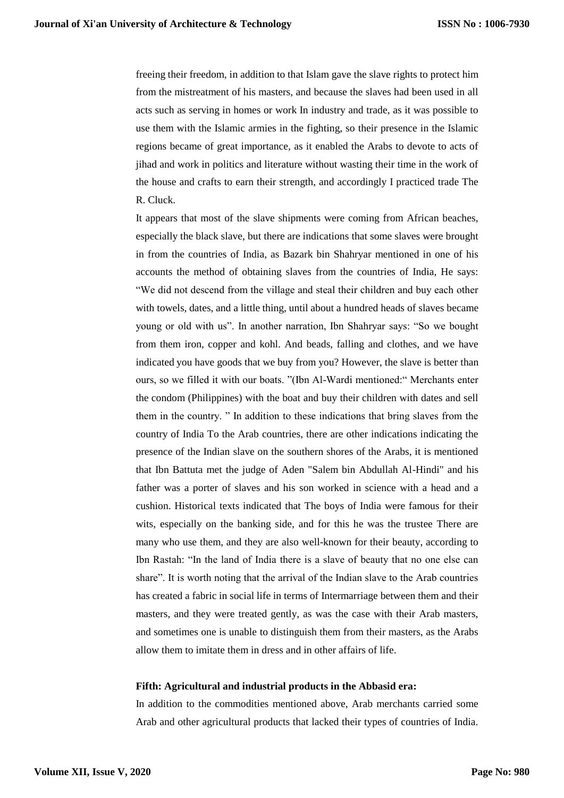freeing their freedom, in addition to that Islam gave the slave rights to protect him from the mistreatment of his masters, and because the slaves had been used in all acts such as serving in homes or work In industry and trade, as it was possible to use them with the Islamic armies in the fighting, so their presence in the Islamic regions became of great importance, as it enabled the Arabs to devote to acts of jihad and work in politics and literature without wasting their time in the work of the house and crafts to earn their strength, and accordingly I practiced trade The R. Cluck.

It appears that most of the slave shipments were coming from African beaches, especially the black slave, but there are indications that some slaves were brought in from the countries of India, as Bazark bin Shahryar mentioned in one of his accounts the method of obtaining slaves from the countries of India, He says: "We did not descend from the village and steal their children and buy each other with towels, dates, and a little thing, until about a hundred heads of slaves became young or old with us". In another narration, Ibn Shahryar says: "So we bought from them iron, copper and kohl. And beads, falling and clothes, and we have indicated you have goods that we buy from you? However, the slave is better than ours, so we filled it with our boats. "(Ibn Al-Wardi mentioned:" Merchants enter the condom (Philippines) with the boat and buy their children with dates and sell them in the country. " In addition to these indications that bring slaves from the country of India To the Arab countries, there are other indications indicating the presence of the Indian slave on the southern shores of the Arabs, it is mentioned that Ibn Battuta met the judge of Aden "Salem bin Abdullah Al-Hindi" and his father was a porter of slaves and his son worked in science with a head and a cushion. Historical texts indicated that The boys of India were famous for their wits, especially on the banking side, and for this he was the trustee There are many who use them, and they are also well-known for their beauty, according to Ibn Rastah: "In the land of India there is a slave of beauty that no one else can share". It is worth noting that the arrival of the Indian slave to the Arab countries has created a fabric in social life in terms of Intermarriage between them and their masters, and they were treated gently, as was the case with their Arab masters, and sometimes one is unable to distinguish them from their masters, as the Arabs allow them to imitate them in dress and in other affairs of life.

#### **Fifth: Agricultural and industrial products in the Abbasid era:**

In addition to the commodities mentioned above, Arab merchants carried some Arab and other agricultural products that lacked their types of countries of India.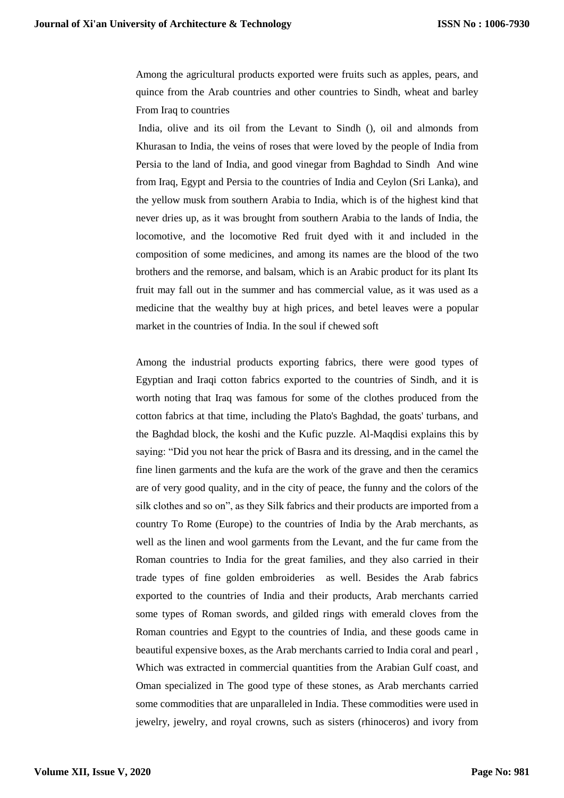Among the agricultural products exported were fruits such as apples, pears, and quince from the Arab countries and other countries to Sindh, wheat and barley From Iraq to countries

India, olive and its oil from the Levant to Sindh (), oil and almonds from Khurasan to India, the veins of roses that were loved by the people of India from Persia to the land of India, and good vinegar from Baghdad to Sindh And wine from Iraq, Egypt and Persia to the countries of India and Ceylon (Sri Lanka), and the yellow musk from southern Arabia to India, which is of the highest kind that never dries up, as it was brought from southern Arabia to the lands of India, the locomotive, and the locomotive Red fruit dyed with it and included in the composition of some medicines, and among its names are the blood of the two brothers and the remorse, and balsam, which is an Arabic product for its plant Its fruit may fall out in the summer and has commercial value, as it was used as a medicine that the wealthy buy at high prices, and betel leaves were a popular market in the countries of India. In the soul if chewed soft

Among the industrial products exporting fabrics, there were good types of Egyptian and Iraqi cotton fabrics exported to the countries of Sindh, and it is worth noting that Iraq was famous for some of the clothes produced from the cotton fabrics at that time, including the Plato's Baghdad, the goats' turbans, and the Baghdad block, the koshi and the Kufic puzzle. Al-Maqdisi explains this by saying: "Did you not hear the prick of Basra and its dressing, and in the camel the fine linen garments and the kufa are the work of the grave and then the ceramics are of very good quality, and in the city of peace, the funny and the colors of the silk clothes and so on", as they Silk fabrics and their products are imported from a country To Rome (Europe) to the countries of India by the Arab merchants, as well as the linen and wool garments from the Levant, and the fur came from the Roman countries to India for the great families, and they also carried in their trade types of fine golden embroideries as well. Besides the Arab fabrics exported to the countries of India and their products, Arab merchants carried some types of Roman swords, and gilded rings with emerald cloves from the Roman countries and Egypt to the countries of India, and these goods came in beautiful expensive boxes, as the Arab merchants carried to India coral and pearl , Which was extracted in commercial quantities from the Arabian Gulf coast, and Oman specialized in The good type of these stones, as Arab merchants carried some commodities that are unparalleled in India. These commodities were used in jewelry, jewelry, and royal crowns, such as sisters (rhinoceros) and ivory from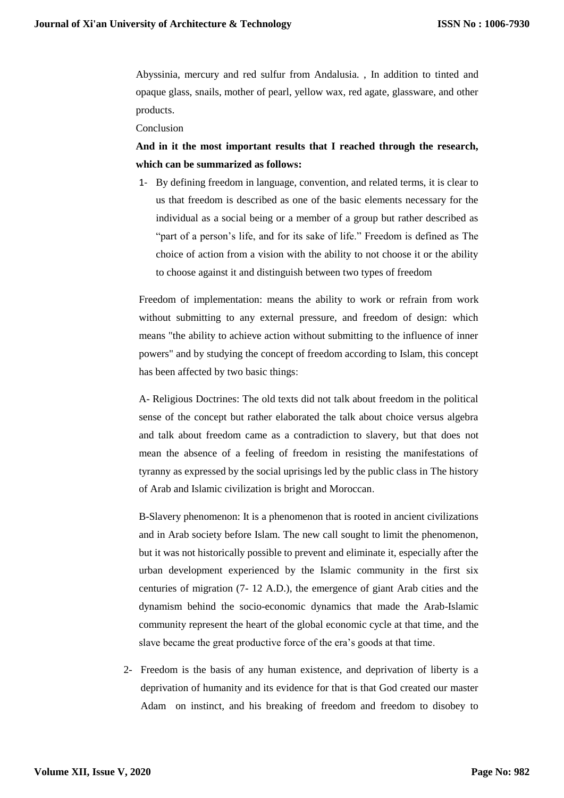Abyssinia, mercury and red sulfur from Andalusia. , In addition to tinted and opaque glass, snails, mother of pearl, yellow wax, red agate, glassware, and other products.

Conclusion

**And in it the most important results that I reached through the research, which can be summarized as follows:**

1- By defining freedom in language, convention, and related terms, it is clear to us that freedom is described as one of the basic elements necessary for the individual as a social being or a member of a group but rather described as "part of a person's life, and for its sake of life." Freedom is defined as The choice of action from a vision with the ability to not choose it or the ability to choose against it and distinguish between two types of freedom

Freedom of implementation: means the ability to work or refrain from work without submitting to any external pressure, and freedom of design: which means "the ability to achieve action without submitting to the influence of inner powers" and by studying the concept of freedom according to Islam, this concept has been affected by two basic things:

A- Religious Doctrines: The old texts did not talk about freedom in the political sense of the concept but rather elaborated the talk about choice versus algebra and talk about freedom came as a contradiction to slavery, but that does not mean the absence of a feeling of freedom in resisting the manifestations of tyranny as expressed by the social uprisings led by the public class in The history of Arab and Islamic civilization is bright and Moroccan.

B-Slavery phenomenon: It is a phenomenon that is rooted in ancient civilizations and in Arab society before Islam. The new call sought to limit the phenomenon, but it was not historically possible to prevent and eliminate it, especially after the urban development experienced by the Islamic community in the first six centuries of migration (7- 12 A.D.), the emergence of giant Arab cities and the dynamism behind the socio-economic dynamics that made the Arab-Islamic community represent the heart of the global economic cycle at that time, and the slave became the great productive force of the era's goods at that time.

2- Freedom is the basis of any human existence, and deprivation of liberty is a deprivation of humanity and its evidence for that is that God created our master Adam on instinct, and his breaking of freedom and freedom to disobey to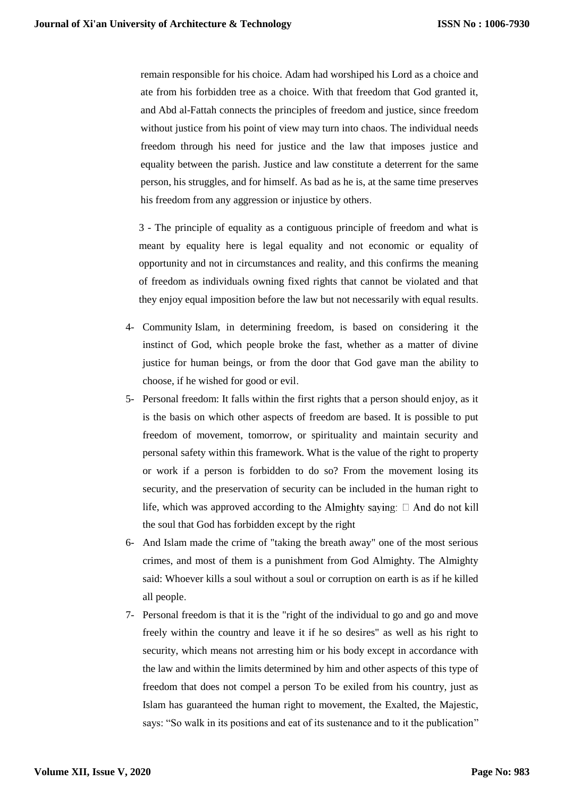remain responsible for his choice. Adam had worshiped his Lord as a choice and ate from his forbidden tree as a choice. With that freedom that God granted it, and Abd al-Fattah connects the principles of freedom and justice, since freedom without justice from his point of view may turn into chaos. The individual needs freedom through his need for justice and the law that imposes justice and equality between the parish. Justice and law constitute a deterrent for the same person, his struggles, and for himself. As bad as he is, at the same time preserves his freedom from any aggression or injustice by others.

3 - The principle of equality as a contiguous principle of freedom and what is meant by equality here is legal equality and not economic or equality of opportunity and not in circumstances and reality, and this confirms the meaning of freedom as individuals owning fixed rights that cannot be violated and that they enjoy equal imposition before the law but not necessarily with equal results.

- 4- Community Islam, in determining freedom, is based on considering it the instinct of God, which people broke the fast, whether as a matter of divine justice for human beings, or from the door that God gave man the ability to choose, if he wished for good or evil.
- 5- Personal freedom: It falls within the first rights that a person should enjoy, as it is the basis on which other aspects of freedom are based. It is possible to put freedom of movement, tomorrow, or spirituality and maintain security and personal safety within this framework. What is the value of the right to property or work if a person is forbidden to do so? From the movement losing its security, and the preservation of security can be included in the human right to life, which was approved according to the Almighty saying:  $\Box$  And do not kill the soul that God has forbidden except by the right
- 6- And Islam made the crime of "taking the breath away" one of the most serious crimes, and most of them is a punishment from God Almighty. The Almighty said: Whoever kills a soul without a soul or corruption on earth is as if he killed all people.
- 7- Personal freedom is that it is the "right of the individual to go and go and move freely within the country and leave it if he so desires" as well as his right to security, which means not arresting him or his body except in accordance with the law and within the limits determined by him and other aspects of this type of freedom that does not compel a person To be exiled from his country, just as Islam has guaranteed the human right to movement, the Exalted, the Majestic, says: "So walk in its positions and eat of its sustenance and to it the publication "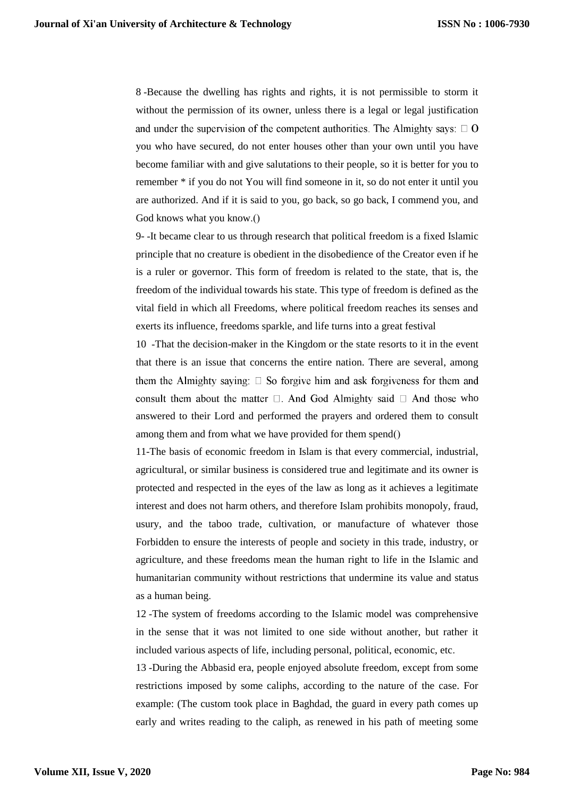8 -Because the dwelling has rights and rights, it is not permissible to storm it without the permission of its owner, unless there is a legal or legal justification and under the supervision of the competent authorities. The Almighty says:  $\Box$  O you who have secured, do not enter houses other than your own until you have become familiar with and give salutations to their people, so it is better for you to remember \* if you do not You will find someone in it, so do not enter it until you are authorized. And if it is said to you, go back, so go back, I commend you, and God knows what you know.()

9- -It became clear to us through research that political freedom is a fixed Islamic principle that no creature is obedient in the disobedience of the Creator even if he is a ruler or governor. This form of freedom is related to the state, that is, the freedom of the individual towards his state. This type of freedom is defined as the vital field in which all Freedoms, where political freedom reaches its senses and exerts its influence, freedoms sparkle, and life turns into a great festival

10 -That the decision-maker in the Kingdom or the state resorts to it in the event that there is an issue that concerns the entire nation. There are several, among them the Almighty saving:  $\square$  So forgive him and ask forgiveness for them and consult them about the matter  $\square$ . And God Almighty said  $\square$  And those who answered to their Lord and performed the prayers and ordered them to consult among them and from what we have provided for them spend()

11-The basis of economic freedom in Islam is that every commercial, industrial, agricultural, or similar business is considered true and legitimate and its owner is protected and respected in the eyes of the law as long as it achieves a legitimate interest and does not harm others, and therefore Islam prohibits monopoly, fraud, usury, and the taboo trade, cultivation, or manufacture of whatever those Forbidden to ensure the interests of people and society in this trade, industry, or agriculture, and these freedoms mean the human right to life in the Islamic and humanitarian community without restrictions that undermine its value and status as a human being.

12 -The system of freedoms according to the Islamic model was comprehensive in the sense that it was not limited to one side without another, but rather it included various aspects of life, including personal, political, economic, etc.

13 -During the Abbasid era, people enjoyed absolute freedom, except from some restrictions imposed by some caliphs, according to the nature of the case. For example: (The custom took place in Baghdad, the guard in every path comes up early and writes reading to the caliph, as renewed in his path of meeting some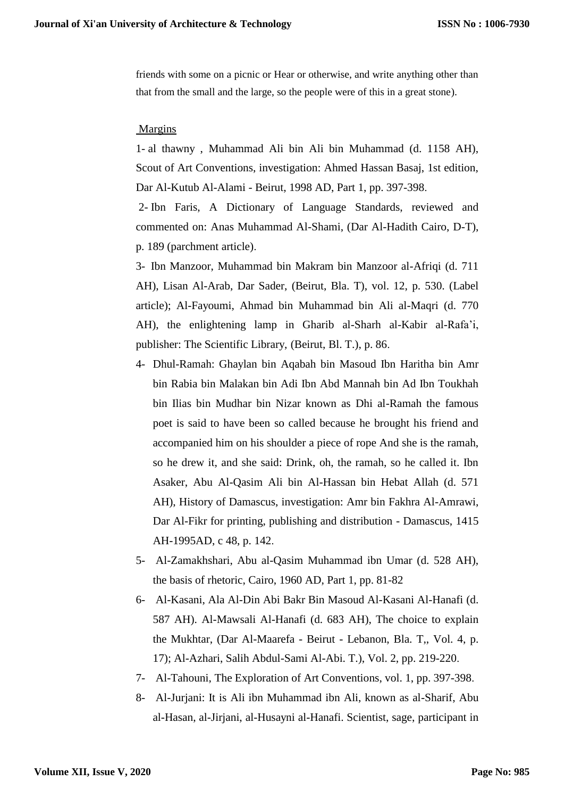friends with some on a picnic or Hear or otherwise, and write anything other than that from the small and the large, so the people were of this in a great stone).

## Margins

1- al thawny , Muhammad Ali bin Ali bin Muhammad (d. 1158 AH), Scout of Art Conventions, investigation: Ahmed Hassan Basaj, 1st edition, Dar Al-Kutub Al-Alami - Beirut, 1998 AD, Part 1, pp. 397-398.

2- Ibn Faris, A Dictionary of Language Standards, reviewed and commented on: Anas Muhammad Al-Shami, (Dar Al-Hadith Cairo, D-T), p. 189 (parchment article).

3- Ibn Manzoor, Muhammad bin Makram bin Manzoor al-Afriqi (d. 711 AH), Lisan Al-Arab, Dar Sader, (Beirut, Bla. T), vol. 12, p. 530. (Label article); Al-Fayoumi, Ahmad bin Muhammad bin Ali al-Maqri (d. 770 AH), the enlightening lamp in Gharib al-Sharh al-Kabir al-Rafa'i, publisher: The Scientific Library, (Beirut, Bl. T.), p. 86.

- 4- Dhul-Ramah: Ghaylan bin Aqabah bin Masoud Ibn Haritha bin Amr bin Rabia bin Malakan bin Adi Ibn Abd Mannah bin Ad Ibn Toukhah bin Ilias bin Mudhar bin Nizar known as Dhi al-Ramah the famous poet is said to have been so called because he brought his friend and accompanied him on his shoulder a piece of rope And she is the ramah, so he drew it, and she said: Drink, oh, the ramah, so he called it. Ibn Asaker, Abu Al-Qasim Ali bin Al-Hassan bin Hebat Allah (d. 571 AH), History of Damascus, investigation: Amr bin Fakhra Al-Amrawi, Dar Al-Fikr for printing, publishing and distribution - Damascus, 1415 AH-1995AD, c 48, p. 142.
- 5- Al-Zamakhshari, Abu al-Qasim Muhammad ibn Umar (d. 528 AH), the basis of rhetoric, Cairo, 1960 AD, Part 1, pp. 81-82
- 6- Al-Kasani, Ala Al-Din Abi Bakr Bin Masoud Al-Kasani Al-Hanafi (d. 587 AH). Al-Mawsali Al-Hanafi (d. 683 AH), The choice to explain the Mukhtar, (Dar Al-Maarefa - Beirut - Lebanon, Bla. T,, Vol. 4, p. 17); Al-Azhari, Salih Abdul-Sami Al-Abi. T.), Vol. 2, pp. 219-220.
- 7- Al-Tahouni, The Exploration of Art Conventions, vol. 1, pp. 397-398.
- 8- Al-Jurjani: It is Ali ibn Muhammad ibn Ali, known as al-Sharif, Abu al-Hasan, al-Jirjani, al-Husayni al-Hanafi. Scientist, sage, participant in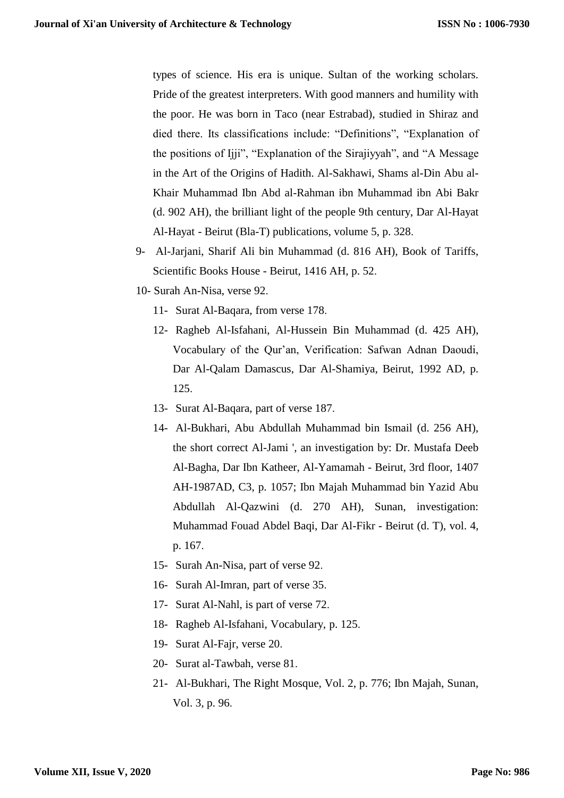types of science. His era is unique. Sultan of the working scholars. Pride of the greatest interpreters. With good manners and humility with the poor. He was born in Taco (near Estrabad), studied in Shiraz and died there. Its classifications include: "Definitions", "Explanation of the positions of Ijji", "Explanation of the Sirajiyyah", and "A Message in the Art of the Origins of Hadith. Al-Sakhawi, Shams al-Din Abu al-Khair Muhammad Ibn Abd al-Rahman ibn Muhammad ibn Abi Bakr (d. 902 AH), the brilliant light of the people 9th century, Dar Al-Hayat Al-Hayat - Beirut (Bla-T) publications, volume 5, p. 328.

- 9- Al-Jarjani, Sharif Ali bin Muhammad (d. 816 AH), Book of Tariffs, Scientific Books House - Beirut, 1416 AH, p. 52.
- 10- Surah An-Nisa, verse 92.
	- 11- Surat Al-Baqara, from verse 178.
	- 12- Ragheb Al-Isfahani, Al-Hussein Bin Muhammad (d. 425 AH), Vocabulary of the Qur'an, Verification: Safwan Adnan Daoudi, Dar Al-Qalam Damascus, Dar Al-Shamiya, Beirut, 1992 AD, p. 125.
	- 13- Surat Al-Baqara, part of verse 187.
	- 14- Al-Bukhari, Abu Abdullah Muhammad bin Ismail (d. 256 AH), the short correct Al-Jami ', an investigation by: Dr. Mustafa Deeb Al-Bagha, Dar Ibn Katheer, Al-Yamamah - Beirut, 3rd floor, 1407 AH-1987AD, C3, p. 1057; Ibn Majah Muhammad bin Yazid Abu Abdullah Al-Qazwini (d. 270 AH), Sunan, investigation: Muhammad Fouad Abdel Baqi, Dar Al-Fikr - Beirut (d. T), vol. 4, p. 167.
	- 15- Surah An-Nisa, part of verse 92.
	- 16- Surah Al-Imran, part of verse 35.
	- 17- Surat Al-Nahl, is part of verse 72.
	- 18- Ragheb Al-Isfahani, Vocabulary, p. 125.
	- 19- Surat Al-Fajr, verse 20.
	- 20- Surat al-Tawbah, verse 81.
	- 21- Al-Bukhari, The Right Mosque, Vol. 2, p. 776; Ibn Majah, Sunan, Vol. 3, p. 96.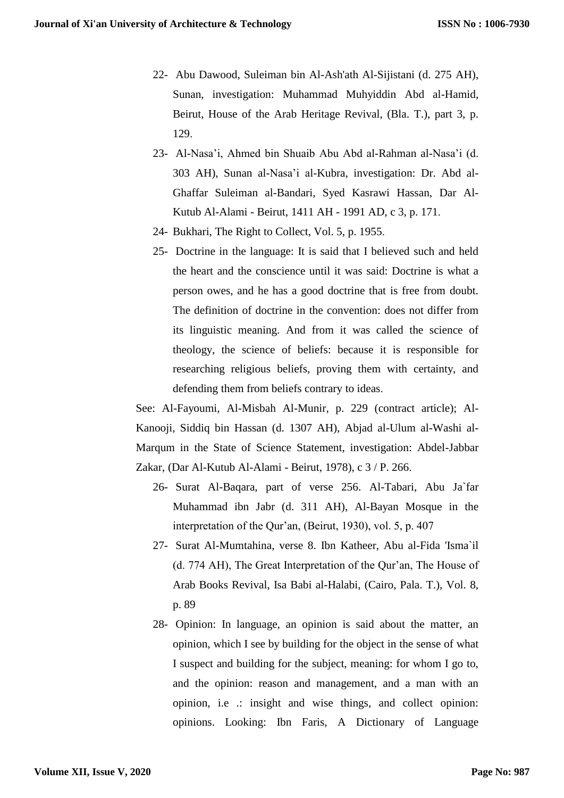- 22- Abu Dawood, Suleiman bin Al-Ash'ath Al-Sijistani (d. 275 AH), Sunan, investigation: Muhammad Muhyiddin Abd al-Hamid, Beirut, House of the Arab Heritage Revival, (Bla. T.), part 3, p. 129.
- 23- Al-Nasa'i, Ahmed bin Shuaib Abu Abd al-Rahman al-Nasa'i (d. 303 AH), Sunan al-Nasa'i al-Kubra, investigation: Dr. Abd al-Ghaffar Suleiman al-Bandari, Syed Kasrawi Hassan, Dar Al-Kutub Al-Alami - Beirut, 1411 AH - 1991 AD, c 3, p. 171.
- 24- Bukhari, The Right to Collect, Vol. 5, p. 1955.
- 25- Doctrine in the language: It is said that I believed such and held the heart and the conscience until it was said: Doctrine is what a person owes, and he has a good doctrine that is free from doubt. The definition of doctrine in the convention: does not differ from its linguistic meaning. And from it was called the science of theology, the science of beliefs: because it is responsible for researching religious beliefs, proving them with certainty, and defending them from beliefs contrary to ideas.

See: Al-Fayoumi, Al-Misbah Al-Munir, p. 229 (contract article); Al-Kanooji, Siddiq bin Hassan (d. 1307 AH), Abjad al-Ulum al-Washi al-Marqum in the State of Science Statement, investigation: Abdel-Jabbar Zakar, (Dar Al-Kutub Al-Alami - Beirut, 1978), c 3 / P. 266.

- 26- Surat Al-Baqara, part of verse 256. Al-Tabari, Abu Ja`far Muhammad ibn Jabr (d. 311 AH), Al-Bayan Mosque in the interpretation of the Qur'an, (Beirut, 1930), vol. 5, p. 407
- 27- Surat Al-Mumtahina, verse 8. Ibn Katheer, Abu al-Fida 'Isma`il (d. 774 AH), The Great Interpretation of the Qur'an, The House of Arab Books Revival, Isa Babi al-Halabi, (Cairo, Pala. T.), Vol. 8, p. 89
- 28- Opinion: In language, an opinion is said about the matter, an opinion, which I see by building for the object in the sense of what I suspect and building for the subject, meaning: for whom I go to, and the opinion: reason and management, and a man with an opinion, i.e .: insight and wise things, and collect opinion: opinions. Looking: Ibn Faris, A Dictionary of Language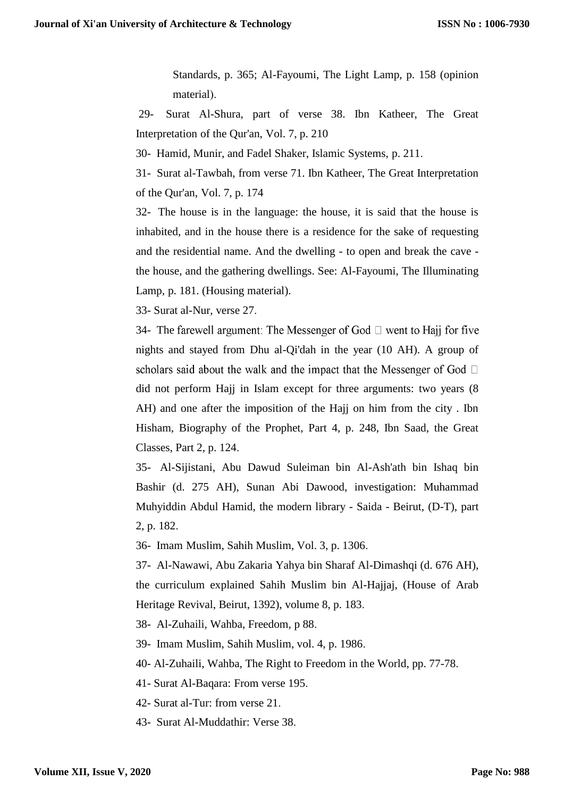Standards, p. 365; Al-Fayoumi, The Light Lamp, p. 158 (opinion material).

29- Surat Al-Shura, part of verse 38. Ibn Katheer, The Great Interpretation of the Qur'an, Vol. 7, p. 210

30- Hamid, Munir, and Fadel Shaker, Islamic Systems, p. 211.

31- Surat al-Tawbah, from verse 71. Ibn Katheer, The Great Interpretation of the Qur'an, Vol. 7, p. 174

32- The house is in the language: the house, it is said that the house is inhabited, and in the house there is a residence for the sake of requesting and the residential name. And the dwelling - to open and break the cave the house, and the gathering dwellings. See: Al-Fayoumi, The Illuminating Lamp, p. 181. (Housing material).

33- Surat al-Nur, verse 27.

34- The farewell argument: The Messenger of God  $\Box$  went to Haij for five nights and stayed from Dhu al-Qi'dah in the year (10 AH). A group of scholars said about the walk and the impact that the Messenger of God  $\Box$ did not perform Hajj in Islam except for three arguments: two years (8 AH) and one after the imposition of the Hajj on him from the city . Ibn Hisham, Biography of the Prophet, Part 4, p. 248, Ibn Saad, the Great Classes, Part 2, p. 124.

35- Al-Sijistani, Abu Dawud Suleiman bin Al-Ash'ath bin Ishaq bin Bashir (d. 275 AH), Sunan Abi Dawood, investigation: Muhammad Muhyiddin Abdul Hamid, the modern library - Saida - Beirut, (D-T), part 2, p. 182.

36- Imam Muslim, Sahih Muslim, Vol. 3, p. 1306.

37- Al-Nawawi, Abu Zakaria Yahya bin Sharaf Al-Dimashqi (d. 676 AH), the curriculum explained Sahih Muslim bin Al-Hajjaj, (House of Arab Heritage Revival, Beirut, 1392), volume 8, p. 183.

38- Al-Zuhaili, Wahba, Freedom, p 88.

39- Imam Muslim, Sahih Muslim, vol. 4, p. 1986.

40- Al-Zuhaili, Wahba, The Right to Freedom in the World, pp. 77-78.

41- Surat Al-Baqara: From verse 195.

42- Surat al-Tur: from verse 21.

43- Surat Al-Muddathir: Verse 38.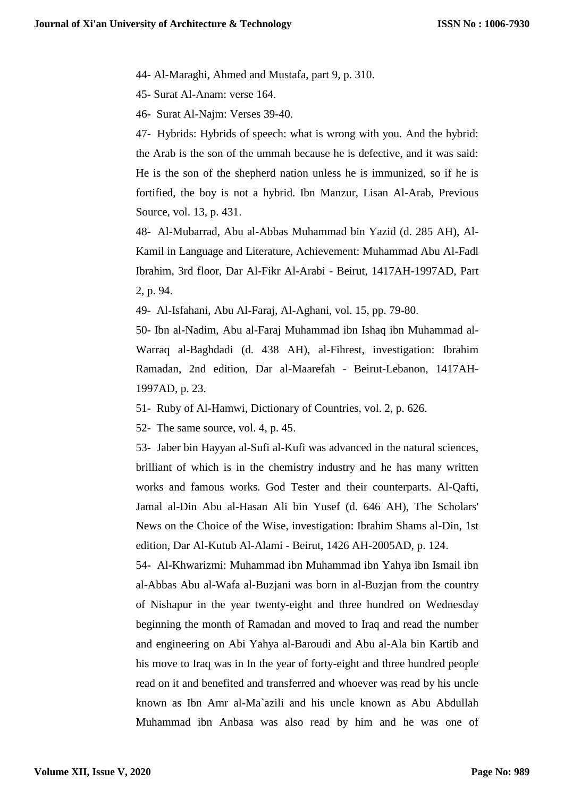44- Al-Maraghi, Ahmed and Mustafa, part 9, p. 310.

45- Surat Al-Anam: verse 164.

46- Surat Al-Najm: Verses 39-40.

47- Hybrids: Hybrids of speech: what is wrong with you. And the hybrid: the Arab is the son of the ummah because he is defective, and it was said: He is the son of the shepherd nation unless he is immunized, so if he is fortified, the boy is not a hybrid. Ibn Manzur, Lisan Al-Arab, Previous Source, vol. 13, p. 431.

48- Al-Mubarrad, Abu al-Abbas Muhammad bin Yazid (d. 285 AH), Al-Kamil in Language and Literature, Achievement: Muhammad Abu Al-Fadl Ibrahim, 3rd floor, Dar Al-Fikr Al-Arabi - Beirut, 1417AH-1997AD, Part 2, p. 94.

49- Al-Isfahani, Abu Al-Faraj, Al-Aghani, vol. 15, pp. 79-80.

50- Ibn al-Nadim, Abu al-Faraj Muhammad ibn Ishaq ibn Muhammad al-Warraq al-Baghdadi (d. 438 AH), al-Fihrest, investigation: Ibrahim Ramadan, 2nd edition, Dar al-Maarefah - Beirut-Lebanon, 1417AH-1997AD, p. 23.

51- Ruby of Al-Hamwi, Dictionary of Countries, vol. 2, p. 626.

52- The same source, vol. 4, p. 45.

53- Jaber bin Hayyan al-Sufi al-Kufi was advanced in the natural sciences, brilliant of which is in the chemistry industry and he has many written works and famous works. God Tester and their counterparts. Al-Qafti, Jamal al-Din Abu al-Hasan Ali bin Yusef (d. 646 AH), The Scholars' News on the Choice of the Wise, investigation: Ibrahim Shams al-Din, 1st edition, Dar Al-Kutub Al-Alami - Beirut, 1426 AH-2005AD, p. 124.

54- Al-Khwarizmi: Muhammad ibn Muhammad ibn Yahya ibn Ismail ibn al-Abbas Abu al-Wafa al-Buzjani was born in al-Buzjan from the country of Nishapur in the year twenty-eight and three hundred on Wednesday beginning the month of Ramadan and moved to Iraq and read the number and engineering on Abi Yahya al-Baroudi and Abu al-Ala bin Kartib and his move to Iraq was in In the year of forty-eight and three hundred people read on it and benefited and transferred and whoever was read by his uncle known as Ibn Amr al-Ma`azili and his uncle known as Abu Abdullah Muhammad ibn Anbasa was also read by him and he was one of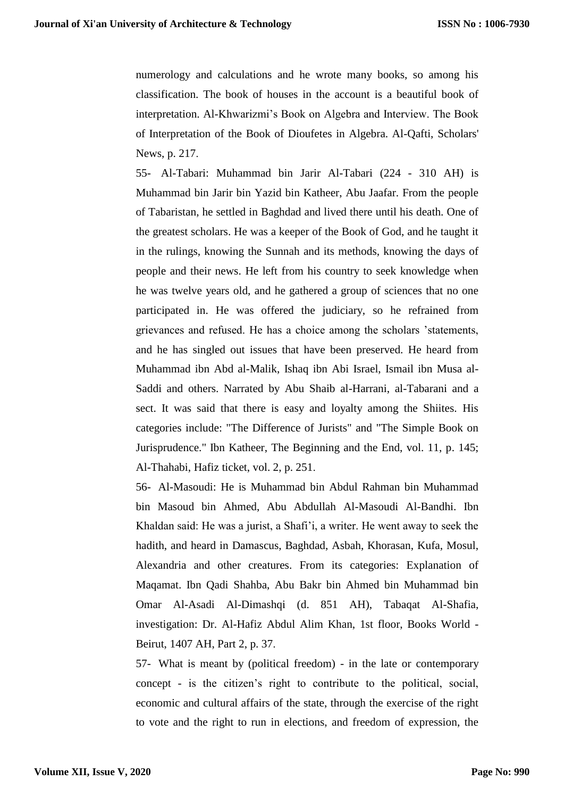numerology and calculations and he wrote many books, so among his classification. The book of houses in the account is a beautiful book of interpretation. Al-Khwarizmi's Book on Algebra and Interview. The Book of Interpretation of the Book of Dioufetes in Algebra. Al-Qafti, Scholars' News, p. 217.

55- Al-Tabari: Muhammad bin Jarir Al-Tabari (224 - 310 AH) is Muhammad bin Jarir bin Yazid bin Katheer, Abu Jaafar. From the people of Tabaristan, he settled in Baghdad and lived there until his death. One of the greatest scholars. He was a keeper of the Book of God, and he taught it in the rulings, knowing the Sunnah and its methods, knowing the days of people and their news. He left from his country to seek knowledge when he was twelve years old, and he gathered a group of sciences that no one participated in. He was offered the judiciary, so he refrained from grievances and refused. He has a choice among the scholars 'statements, and he has singled out issues that have been preserved. He heard from Muhammad ibn Abd al-Malik, Ishaq ibn Abi Israel, Ismail ibn Musa al-Saddi and others. Narrated by Abu Shaib al-Harrani, al-Tabarani and a sect. It was said that there is easy and loyalty among the Shiites. His categories include: "The Difference of Jurists" and "The Simple Book on Jurisprudence." Ibn Katheer, The Beginning and the End, vol. 11, p. 145; Al-Thahabi, Hafiz ticket, vol. 2, p. 251.

56- Al-Masoudi: He is Muhammad bin Abdul Rahman bin Muhammad bin Masoud bin Ahmed, Abu Abdullah Al-Masoudi Al-Bandhi. Ibn Khaldan said: He was a jurist, a Shafi'i, a writer. He went away to seek the hadith, and heard in Damascus, Baghdad, Asbah, Khorasan, Kufa, Mosul, Alexandria and other creatures. From its categories: Explanation of Maqamat. Ibn Qadi Shahba, Abu Bakr bin Ahmed bin Muhammad bin Omar Al-Asadi Al-Dimashqi (d. 851 AH), Tabaqat Al-Shafia, investigation: Dr. Al-Hafiz Abdul Alim Khan, 1st floor, Books World - Beirut, 1407 AH, Part 2, p. 37.

57- What is meant by (political freedom) - in the late or contemporary concept - is the citizen's right to contribute to the political, social, economic and cultural affairs of the state, through the exercise of the right to vote and the right to run in elections, and freedom of expression, the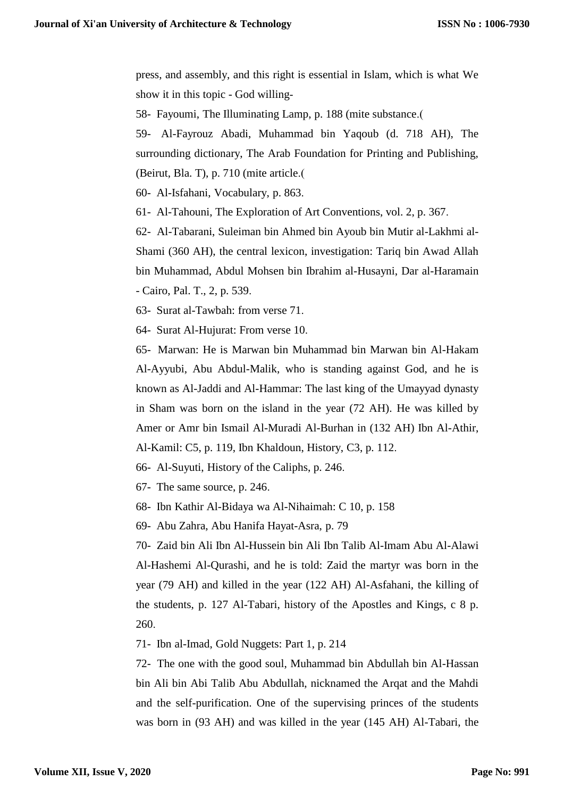press, and assembly, and this right is essential in Islam, which is what We show it in this topic - God willing-

58- Fayoumi, The Illuminating Lamp, p. 188 (mite substance.)

59- Al-Fayrouz Abadi, Muhammad bin Yaqoub (d. 718 AH), The surrounding dictionary, The Arab Foundation for Printing and Publishing, (Beirut, Bla. T), p. 710 (mite article.)

60- Al-Isfahani, Vocabulary, p. 863.

61- Al-Tahouni, The Exploration of Art Conventions, vol. 2, p. 367.

62- Al-Tabarani, Suleiman bin Ahmed bin Ayoub bin Mutir al-Lakhmi al-Shami (360 AH), the central lexicon, investigation: Tariq bin Awad Allah bin Muhammad, Abdul Mohsen bin Ibrahim al-Husayni, Dar al-Haramain - Cairo, Pal. T., 2, p. 539.

63- Surat al-Tawbah: from verse 71.

64- Surat Al-Hujurat: From verse 10.

65- Marwan: He is Marwan bin Muhammad bin Marwan bin Al-Hakam Al-Ayyubi, Abu Abdul-Malik, who is standing against God, and he is known as Al-Jaddi and Al-Hammar: The last king of the Umayyad dynasty in Sham was born on the island in the year (72 AH). He was killed by Amer or Amr bin Ismail Al-Muradi Al-Burhan in (132 AH) Ibn Al-Athir, Al-Kamil: C5, p. 119, Ibn Khaldoun, History, C3, p. 112.

66- Al-Suyuti, History of the Caliphs, p. 246.

67- The same source, p. 246.

68- Ibn Kathir Al-Bidaya wa Al-Nihaimah: C 10, p. 158

69- Abu Zahra, Abu Hanifa Hayat-Asra, p. 79

70- Zaid bin Ali Ibn Al-Hussein bin Ali Ibn Talib Al-Imam Abu Al-Alawi Al-Hashemi Al-Qurashi, and he is told: Zaid the martyr was born in the year (79 AH) and killed in the year (122 AH) Al-Asfahani, the killing of the students, p. 127 Al-Tabari, history of the Apostles and Kings, c 8 p. 260.

71- Ibn al-Imad, Gold Nuggets: Part 1, p. 214

72- The one with the good soul, Muhammad bin Abdullah bin Al-Hassan bin Ali bin Abi Talib Abu Abdullah, nicknamed the Arqat and the Mahdi and the self-purification. One of the supervising princes of the students was born in (93 AH) and was killed in the year (145 AH) Al-Tabari, the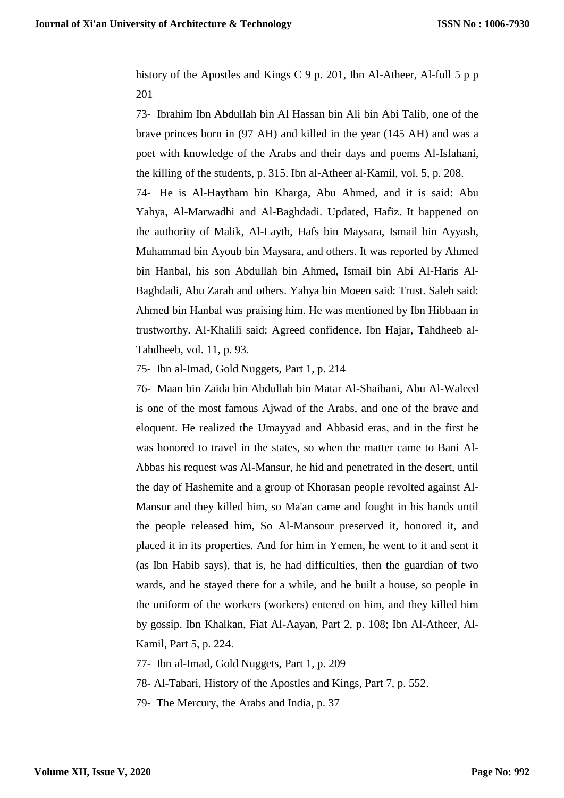history of the Apostles and Kings C 9 p. 201, Ibn Al-Atheer, Al-full 5 p p 201

73- Ibrahim Ibn Abdullah bin Al Hassan bin Ali bin Abi Talib, one of the brave princes born in (97 AH) and killed in the year (145 AH) and was a poet with knowledge of the Arabs and their days and poems Al-Isfahani, the killing of the students, p. 315. Ibn al-Atheer al-Kamil, vol. 5, p. 208.

74- He is Al-Haytham bin Kharga, Abu Ahmed, and it is said: Abu Yahya, Al-Marwadhi and Al-Baghdadi. Updated, Hafiz. It happened on the authority of Malik, Al-Layth, Hafs bin Maysara, Ismail bin Ayyash, Muhammad bin Ayoub bin Maysara, and others. It was reported by Ahmed bin Hanbal, his son Abdullah bin Ahmed, Ismail bin Abi Al-Haris Al-Baghdadi, Abu Zarah and others. Yahya bin Moeen said: Trust. Saleh said: Ahmed bin Hanbal was praising him. He was mentioned by Ibn Hibbaan in trustworthy. Al-Khalili said: Agreed confidence. Ibn Hajar, Tahdheeb al-Tahdheeb, vol. 11, p. 93.

75- Ibn al-Imad, Gold Nuggets, Part 1, p. 214

76- Maan bin Zaida bin Abdullah bin Matar Al-Shaibani, Abu Al-Waleed is one of the most famous Ajwad of the Arabs, and one of the brave and eloquent. He realized the Umayyad and Abbasid eras, and in the first he was honored to travel in the states, so when the matter came to Bani Al-Abbas his request was Al-Mansur, he hid and penetrated in the desert, until the day of Hashemite and a group of Khorasan people revolted against Al-Mansur and they killed him, so Ma'an came and fought in his hands until the people released him, So Al-Mansour preserved it, honored it, and placed it in its properties. And for him in Yemen, he went to it and sent it (as Ibn Habib says), that is, he had difficulties, then the guardian of two wards, and he stayed there for a while, and he built a house, so people in the uniform of the workers (workers) entered on him, and they killed him by gossip. Ibn Khalkan, Fiat Al-Aayan, Part 2, p. 108; Ibn Al-Atheer, Al-Kamil, Part 5, p. 224.

77- Ibn al-Imad, Gold Nuggets, Part 1, p. 209

78- Al-Tabari, History of the Apostles and Kings, Part 7, p. 552.

79- The Mercury, the Arabs and India, p. 37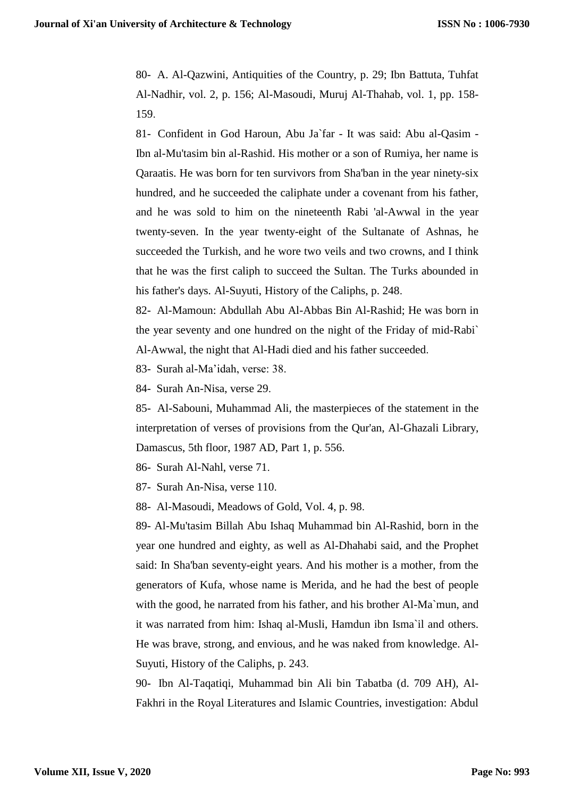80- A. Al-Qazwini, Antiquities of the Country, p. 29; Ibn Battuta, Tuhfat Al-Nadhir, vol. 2, p. 156; Al-Masoudi, Muruj Al-Thahab, vol. 1, pp. 158- 159.

81- Confident in God Haroun, Abu Ja`far - It was said: Abu al-Qasim - Ibn al-Mu'tasim bin al-Rashid. His mother or a son of Rumiya, her name is Qaraatis. He was born for ten survivors from Sha'ban in the year ninety-six hundred, and he succeeded the caliphate under a covenant from his father, and he was sold to him on the nineteenth Rabi 'al-Awwal in the year twenty-seven. In the year twenty-eight of the Sultanate of Ashnas, he succeeded the Turkish, and he wore two veils and two crowns, and I think that he was the first caliph to succeed the Sultan. The Turks abounded in his father's days. Al-Suyuti, History of the Caliphs, p. 248.

82- Al-Mamoun: Abdullah Abu Al-Abbas Bin Al-Rashid; He was born in the year seventy and one hundred on the night of the Friday of mid-Rabi` Al-Awwal, the night that Al-Hadi died and his father succeeded.

83- Surah al-Ma'idah, verse: 38.

84- Surah An-Nisa, verse 29.

85- Al-Sabouni, Muhammad Ali, the masterpieces of the statement in the interpretation of verses of provisions from the Qur'an, Al-Ghazali Library, Damascus, 5th floor, 1987 AD, Part 1, p. 556.

86- Surah Al-Nahl, verse 71.

87- Surah An-Nisa, verse 110.

88- Al-Masoudi, Meadows of Gold, Vol. 4, p. 98.

89- Al-Mu'tasim Billah Abu Ishaq Muhammad bin Al-Rashid, born in the year one hundred and eighty, as well as Al-Dhahabi said, and the Prophet said: In Sha'ban seventy-eight years. And his mother is a mother, from the generators of Kufa, whose name is Merida, and he had the best of people with the good, he narrated from his father, and his brother Al-Ma`mun, and it was narrated from him: Ishaq al-Musli, Hamdun ibn Isma`il and others. He was brave, strong, and envious, and he was naked from knowledge. Al-Suyuti, History of the Caliphs, p. 243.

90- Ibn Al-Taqatiqi, Muhammad bin Ali bin Tabatba (d. 709 AH), Al-Fakhri in the Royal Literatures and Islamic Countries, investigation: Abdul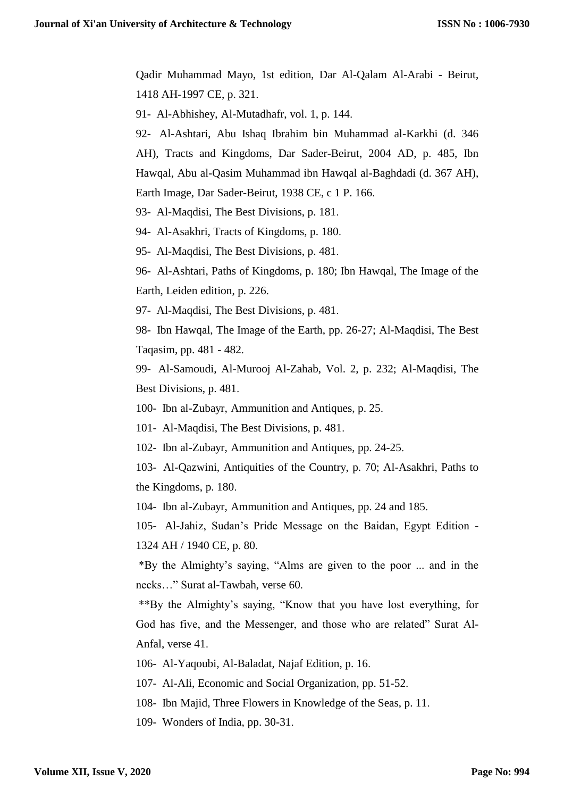Qadir Muhammad Mayo, 1st edition, Dar Al-Qalam Al-Arabi - Beirut, 1418 AH-1997 CE, p. 321.

91- Al-Abhishey, Al-Mutadhafr, vol. 1, p. 144.

92- Al-Ashtari, Abu Ishaq Ibrahim bin Muhammad al-Karkhi (d. 346 AH), Tracts and Kingdoms, Dar Sader-Beirut, 2004 AD, p. 485, Ibn Hawqal, Abu al-Qasim Muhammad ibn Hawqal al-Baghdadi (d. 367 AH), Earth Image, Dar Sader-Beirut, 1938 CE, c 1 P. 166.

93- Al-Maqdisi, The Best Divisions, p. 181.

94- Al-Asakhri, Tracts of Kingdoms, p. 180.

95- Al-Maqdisi, The Best Divisions, p. 481.

96- Al-Ashtari, Paths of Kingdoms, p. 180; Ibn Hawqal, The Image of the Earth, Leiden edition, p. 226.

97- Al-Maqdisi, The Best Divisions, p. 481.

98- Ibn Hawqal, The Image of the Earth, pp. 26-27; Al-Maqdisi, The Best Taqasim, pp. 481 - 482.

99- Al-Samoudi, Al-Murooj Al-Zahab, Vol. 2, p. 232; Al-Maqdisi, The Best Divisions, p. 481.

100- Ibn al-Zubayr, Ammunition and Antiques, p. 25.

101- Al-Maqdisi, The Best Divisions, p. 481.

102- Ibn al-Zubayr, Ammunition and Antiques, pp. 24-25.

103- Al-Qazwini, Antiquities of the Country, p. 70; Al-Asakhri, Paths to the Kingdoms, p. 180.

104- Ibn al-Zubayr, Ammunition and Antiques, pp. 24 and 185.

105- Al-Jahiz, Sudan's Pride Message on the Baidan, Egypt Edition - 1324 AH / 1940 CE, p. 80.

 \*By the Almighty's saying, "Alms are given to the poor ... and in the necks…" Surat al-Tawbah, verse 60.

 \*\*By the Almighty's saying, "Know that you have lost everything, for God has five, and the Messenger, and those who are related" Surat Al-Anfal, verse 41.

106- Al-Yaqoubi, Al-Baladat, Najaf Edition, p. 16.

107- Al-Ali, Economic and Social Organization, pp. 51-52.

108- Ibn Majid, Three Flowers in Knowledge of the Seas, p. 11.

109- Wonders of India, pp. 30-31.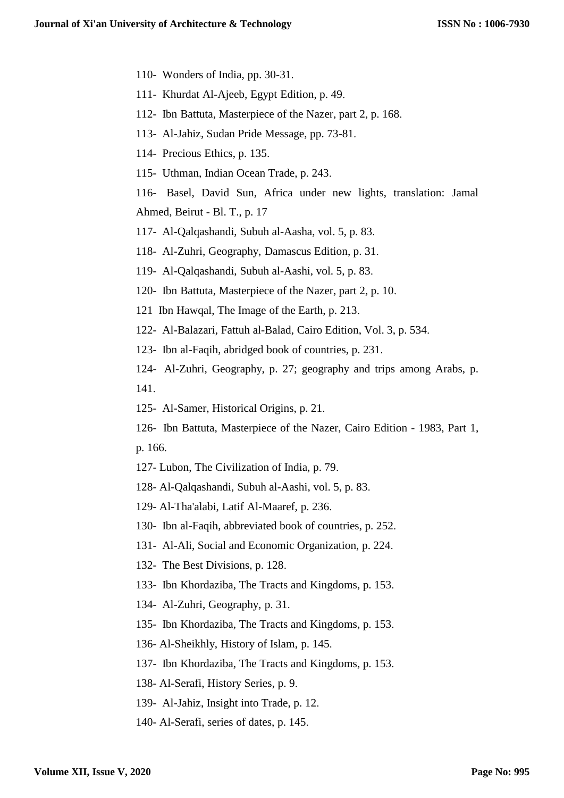- 110- Wonders of India, pp. 30-31.
- 111- Khurdat Al-Ajeeb, Egypt Edition, p. 49.
- 112- Ibn Battuta, Masterpiece of the Nazer, part 2, p. 168.
- 113- Al-Jahiz, Sudan Pride Message, pp. 73-81.
- 114- Precious Ethics, p. 135.
- 115- Uthman, Indian Ocean Trade, p. 243.

116- Basel, David Sun, Africa under new lights, translation: Jamal Ahmed, Beirut - Bl. T., p. 17

117- Al-Qalqashandi, Subuh al-Aasha, vol. 5, p. 83.

118- Al-Zuhri, Geography, Damascus Edition, p. 31.

119- Al-Qalqashandi, Subuh al-Aashi, vol. 5, p. 83.

120- Ibn Battuta, Masterpiece of the Nazer, part 2, p. 10.

121 Ibn Hawqal, The Image of the Earth, p. 213.

122- Al-Balazari, Fattuh al-Balad, Cairo Edition, Vol. 3, p. 534.

123- Ibn al-Faqih, abridged book of countries, p. 231.

124- Al-Zuhri, Geography, p. 27; geography and trips among Arabs, p. 141.

125- Al-Samer, Historical Origins, p. 21.

126- Ibn Battuta, Masterpiece of the Nazer, Cairo Edition - 1983, Part 1, p. 166.

127- Lubon, The Civilization of India, p. 79.

128- Al-Qalqashandi, Subuh al-Aashi, vol. 5, p. 83.

129- Al-Tha'alabi, Latif Al-Maaref, p. 236.

130- Ibn al-Faqih, abbreviated book of countries, p. 252.

131- Al-Ali, Social and Economic Organization, p. 224.

132- The Best Divisions, p. 128.

133- Ibn Khordaziba, The Tracts and Kingdoms, p. 153.

134- Al-Zuhri, Geography, p. 31.

135- Ibn Khordaziba, The Tracts and Kingdoms, p. 153.

136- Al-Sheikhly, History of Islam, p. 145.

137- Ibn Khordaziba, The Tracts and Kingdoms, p. 153.

138- Al-Serafi, History Series, p. 9.

139- Al-Jahiz, Insight into Trade, p. 12.

140- Al-Serafi, series of dates, p. 145.